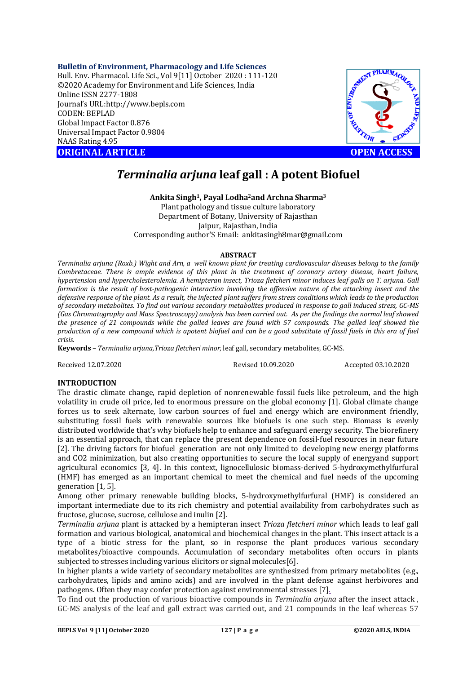### **Bulletin of Environment, Pharmacology and Life Sciences**

Bull. Env. Pharmacol. Life Sci., Vol 9[11] October 2020 : 111-120 ©2020 Academy for Environment and Life Sciences, India Online ISSN 2277-1808 Journal's URL:<http://www.bepls.com> CODEN: BEPLAD Global Impact Factor 0.876 Universal Impact Factor 0.9804 NAAS Rating 4.95 **ORIGINAL ARTICLE OPEN ACCESS** 



# *Terminalia arjuna* **leaf gall : A potent Biofuel**

**Ankita Singh1, Payal Lodha2and Archna Sharma<sup>3</sup>** Plant pathology and tissue culture laboratory Department of Botany, University of Rajasthan Jaipur, Rajasthan, India Corresponding author'S Email: [ankitasingh8mar@gmail.com](mailto:ankitasingh8mar@gmail.com)

### **ABSTRACT**

*Terminalia arjuna (Roxb.) Wight and Arn, a well known plant for treating cardiovascular diseases belong to the family Combretaceae. There is ample evidence of this plant in the treatment of coronary artery disease, heart failure, hypertension and hypercholesterolemia. A hemipteran insect, Trioza fletcheri minor induces leaf galls on T. arjuna. Gall formation is the result of host-pathogenic interaction involving the offensive nature of the attacking insect and the defensive response of the plant. As a result, the infected plant suffers from stress conditions which leads to the production of secondary metabolites. To find out various secondary metabolites produced in response to gall induced stress, GC-MS (Gas Chromatography and Mass Spectroscopy) analysis has been carried out. As per the findings the normal leaf showed the presence of 21 compounds while the galled leaves are found with 57 compounds. The galled leaf showed the production of a new compound which is apotent biofuel and can be a good substitute of fossil fuels in this era of fuel crisis.*

**Keywords** – *Terminalia arjuna,Trioza fletcheri minor*, leaf gall, secondary metabolites, GC-MS.

Received 12.07.2020 Revised 10.09.2020 Accepted 03.10.2020

## **INTRODUCTION**

The drastic climate change, rapid depletion of nonrenewable fossil fuels like petroleum, and the high volatility in crude oil price, led to enormous pressure on the global economy [1]. Global climate change forces us to seek alternate, low carbon sources of fuel and energy which are environment friendly, substituting fossil fuels with renewable sources like biofuels is one such step. Biomass is evenly distributed worldwide that's why biofuels help to enhance and safeguard energy security. The biorefinery is an essential approach, that can replace the present dependence on fossil-fuel resources in near future [2]. The driving factors for biofuel generation are not only limited to developing new energy platforms and CO2 minimization, but also creating opportunities to secure the local supply of energyand support agricultural economics [3, 4]. In this context, lignocellulosic biomass-derived 5-hydroxymethylfurfural (HMF) has emerged as an important chemical to meet the chemical and fuel needs of the upcoming generation [1, 5].

Among other primary renewable building blocks, 5-hydroxymethylfurfural (HMF) is considered an important intermediate due to its rich chemistry and potential availability from carbohydrates such as fructose, glucose, sucrose, cellulose and inulin [2].

*Terminalia arjuna* plant is attacked by a hemipteran insect *Trioza fletcheri minor* which leads to leaf gall formation and various biological, anatomical and biochemical changes in the plant. This insect attack is a type of a biotic stress for the plant, so in response the plant produces various secondary metabolites/bioactive compounds. Accumulation of secondary metabolites often occurs in plants subjected to stresses including various elicitors or signal molecules[6].

In higher plants a wide variety of secondary metabolites are synthesized from primary metabolites (e.g., carbohydrates, lipids and amino acids) and are involved in the plant defense against herbivores and pathogens. Often they may confer protection against environmental stresses [7].

To find out the production of various bioactive compounds in *Terminalia arjuna* after the insect attack , GC-MS analysis of the leaf and gall extract was carried out, and 21 compounds in the leaf whereas 57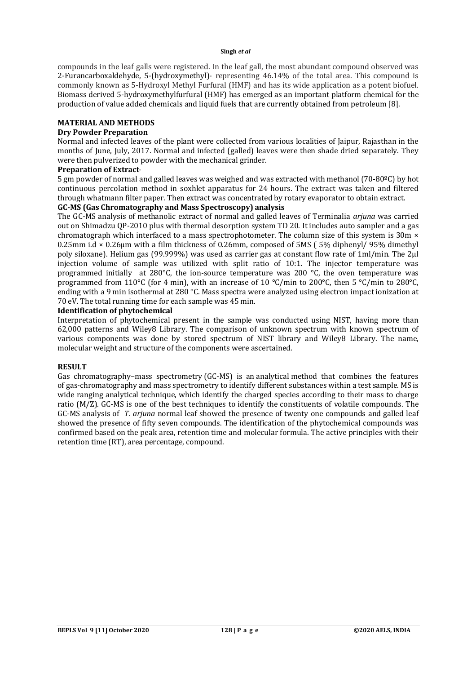### **Singh** *et al*

compounds in the leaf galls were registered. In the leaf gall, the most abundant compound observed was 2-Furancarboxaldehyde, 5-(hydroxymethyl)- representing 46.14% of the total area. This compound is commonly known as 5-Hydroxyl Methyl Furfural (HMF) and has its wide application as a potent biofuel. Biomass derived 5-hydroxymethylfurfural (HMF) has emerged as an important platform chemical for the production of value added chemicals and liquid fuels that are currently obtained from petroleum [8].

### **MATERIAL AND METHODS**

### **Dry Powder Preparation**

Normal and infected leaves of the plant were collected from various localities of Jaipur, Rajasthan in the months of June, July, 2017. Normal and infected (galled) leaves were then shade dried separately. They were then pulverized to powder with the mechanical grinder.

### **Preparation of Extract**-

5 gm powder of normal and galled leaves was weighed and was extracted with methanol (70-80ºC) by hot continuous percolation method in soxhlet apparatus for 24 hours. The extract was taken and filtered through whatmann filter paper. Then extract was concentrated by rotary evaporator to obtain extract.

# **GC-MS (Gas Chromatography and Mass Spectroscopy) analysis**

The GC-MS analysis of methanolic extract of normal and galled leaves of Terminalia *arjuna* was carried out on Shimadzu QP-2010 plus with thermal desorption system TD 20. It includes auto sampler and a gas chromatograph which interfaced to a mass spectrophotometer. The column size of this system is 30m  $\times$ 0.25mm i.d  $\times$  0.26um with a film thickness of 0.26mm, composed of 5MS (5% diphenyl/ 95% dimethyl poly siloxane). Helium gas (99.999%) was used as carrier gas at constant flow rate of 1ml/min. The 2µl injection volume of sample was utilized with split ratio of 10:1. The injector temperature was programmed initially at 280°C, the ion-source temperature was 200 °C, the oven temperature was programmed from 110°C (for 4 min), with an increase of 10 °C/min to 200°C, then 5 °C/min to 280°C, ending with a 9 min isothermal at 280 °C. Mass spectra were analyzed using electron impact ionization at 70 eV. The total running time for each sample was 45 min.

### **Identification of phytochemical**

Interpretation of phytochemical present in the sample was conducted using NIST, having more than 62,000 patterns and Wiley8 Library. The comparison of unknown spectrum with known spectrum of various components was done by stored spectrum of NIST library and Wiley8 Library. The name, molecular weight and structure of the components were ascertained.

## **RESULT**

Gas chromatography–mass spectrometry (GC-MS) is an analytical method that combines the features of gas-chromatography and mass spectrometry to identify different substances within a test sample. MS is wide ranging analytical technique, which identify the charged species according to their mass to charge ratio (M/Z). GC-MS is one of the best techniques to identify the constituents of volatile compounds. The GC-MS analysis of *T. arjuna* normal leaf showed the presence of twenty one compounds and galled leaf showed the presence of fifty seven compounds. The identification of the phytochemical compounds was confirmed based on the peak area, retention time and molecular formula. The active principles with their retention time (RT), area percentage, compound.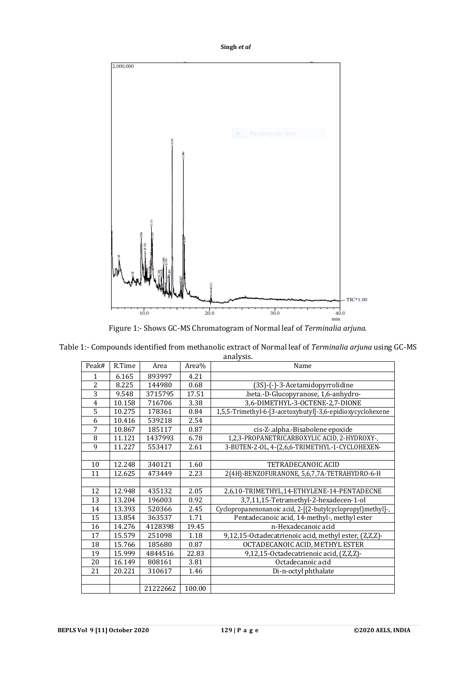



Figure 1:- Shows GC-MS Chromatogram of Normal leaf of *Terminalia arjuna.*

| Table 1:- Compounds identified from methanolic extract of Normal leaf of Terminalia arjuna using GC-MS |
|--------------------------------------------------------------------------------------------------------|
| analysis.                                                                                              |

| Peak#          | R.Time | Area     | Area%  | Name                                                        |
|----------------|--------|----------|--------|-------------------------------------------------------------|
| 1              | 6.165  | 893997   | 4.21   |                                                             |
| $\overline{2}$ | 8.225  | 144980   | 0.68   | (3S)-(-)-3-Acetamidopyrrolidine                             |
| $\overline{3}$ | 9.548  | 3715795  | 17.51  | .beta.-D-Glucopyranose, 1,6-anhydro-                        |
| $\overline{4}$ | 10.158 | 716706   | 3.38   | 3,6-DIMETHYL-3-OCTENE-2,7-DIONE                             |
| 5              | 10.275 | 178361   | 0.84   | 1,5,5-Trimethyl-6-[3-acetoxybutyl]-3,6-epidioxycyclohexene  |
| 6              | 10.416 | 539218   | 2.54   |                                                             |
| 7              | 10.867 | 185117   | 0.87   | cis-Z-.alpha.-Bisabolene epoxide                            |
| 8              | 11.121 | 1437993  | 6.78   | 1,2,3-PROPANETRICARBOXYLIC ACID, 2-HYDROXY-,                |
| 9              | 11.227 | 553417   | 2.61   | 3-BUTEN-2-OL, 4-(2,6,6-TRIMETHYL-1-CYCLOHEXEN-              |
|                |        |          |        |                                                             |
| 10             | 12.248 | 340121   | 1.60   | TETRADECANOIC ACID                                          |
| 11             | 12.625 | 473449   | 2.23   | 2(4H)-BENZOFURANONE, 5,6,7,7A-TETRAHYDRO-6-H                |
|                |        |          |        |                                                             |
| 12             | 12.948 | 435132   | 2.05   | 2,6,10-TRIMETHYL,14-ETHYLENE-14-PENTADECNE                  |
| 13             | 13.204 | 196003   | 0.92   | 3,7,11,15-Tetramethyl-2-hexadecen-1-ol                      |
| 14             | 13.393 | 520366   | 2.45   | Cyclopropanenonanoic acid, 2-[(2-butylcyclopropyl)methyl]-, |
| 15             | 13.854 | 363537   | 1.71   | Pentadecanoic acid, 14-methyl-, methyl ester                |
| 16             | 14.276 | 4128398  | 19.45  | n-Hexadecanoic acid                                         |
| 17             | 15.579 | 251098   | 1.18   | 9,12,15-Octadecatrienoic acid, methyl ester, (Z,Z,Z)-       |
| 18             | 15.766 | 185680   | 0.87   | OCTADECANOIC ACID, METHYL ESTER                             |
| 19             | 15.999 | 4844516  | 22.83  | 9,12,15-Octadecatrienoic acid, (Z,Z,Z)-                     |
| 20             | 16.149 | 808161   | 3.81   | Octadecanoic acid                                           |
| 21             | 20.221 | 310617   | 1.46   | Di-n-octyl phthalate                                        |
|                |        |          |        |                                                             |
|                |        | 21222662 | 100.00 |                                                             |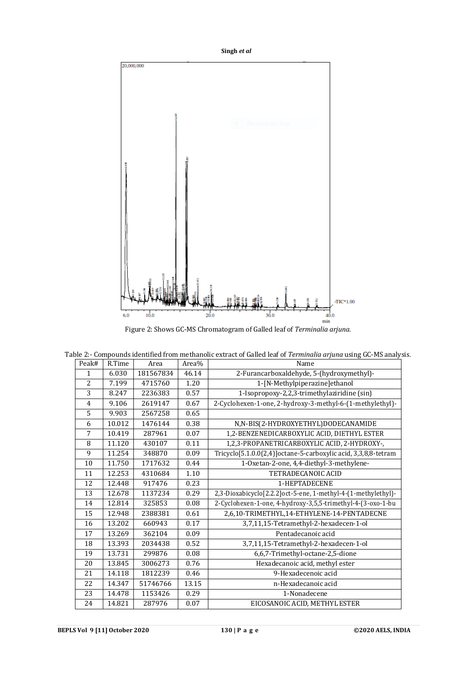**Singh** *et al*



Figure 2: Shows GC-MS Chromatogram of Galled leaf of *Terminalia arjuna.*

|  |  | Table 2:- Compounds identified from methanolic extract of Galled leaf of <i>Terminalia arjuna</i> using GC-MS analysis. |  |  |  |  |  |  |  |  |
|--|--|-------------------------------------------------------------------------------------------------------------------------|--|--|--|--|--|--|--|--|
|--|--|-------------------------------------------------------------------------------------------------------------------------|--|--|--|--|--|--|--|--|

| Peak#          | R.Time | Area      | Area% | Name                                                           |  |
|----------------|--------|-----------|-------|----------------------------------------------------------------|--|
| $\mathbf{1}$   | 6.030  | 181567834 | 46.14 | 2-Furancarboxaldehyde, 5-(hydroxymethyl)-                      |  |
| $\overline{2}$ | 7.199  | 4715760   | 1.20  | 1-[N-Methylpiperazine]ethanol                                  |  |
| $\overline{3}$ | 8.247  | 2236383   | 0.57  | 1-Isopropoxy-2,2,3-trimethylaziridine (sin)                    |  |
| $\overline{4}$ | 9.106  | 2619147   | 0.67  | 2-Cyclohexen-1-one, 2-hydroxy-3-methyl-6-(1-methylethyl)-      |  |
| 5              | 9.903  | 2567258   | 0.65  |                                                                |  |
| 6              | 10.012 | 1476144   | 0.38  | N,N-BIS(2-HYDROXYETHYL)DODECANAMIDE                            |  |
| 7              | 10.419 | 287961    | 0.07  | 1,2-BENZENEDICARBOXYLIC ACID, DIETHYL ESTER                    |  |
| 8              | 11.120 | 430107    | 0.11  | 1,2,3-PROPANETRICARBOXYLIC ACID, 2-HYDROXY-,                   |  |
| 9              | 11.254 | 348870    | 0.09  | Tricyclo[5.1.0.0(2,4)]octane-5-carboxylic acid, 3,3,8,8-tetram |  |
| 10             | 11.750 | 1717632   | 0.44  | 1-Oxetan-2-one, 4,4-diethyl-3-methylene-                       |  |
| 11             | 12.253 | 4310684   | 1.10  | TETRADECANOIC ACID                                             |  |
| 12             | 12.448 | 917476    | 0.23  | 1-HEPTADECENE                                                  |  |
| 13             | 12.678 | 1137234   | 0.29  | 2,3-Dioxabicyclo[2.2.2]oct-5-ene, 1-methyl-4-(1-methylethyl)-  |  |
| 14             | 12.814 | 325853    | 0.08  | 2-Cyclohexen-1-one, 4-hydroxy-3,5,5-trimethyl-4-(3-oxo-1-bu    |  |
| 15             | 12.948 | 2388381   | 0.61  | 2,6,10-TRIMETHYL,14-ETHYLENE-14-PENTADECNE                     |  |
| 16             | 13.202 | 660943    | 0.17  | 3,7,11,15-Tetramethyl-2-hexadecen-1-ol                         |  |
| 17             | 13.269 | 362104    | 0.09  | Pentadecanoic acid                                             |  |
| 18             | 13.393 | 2034438   | 0.52  | 3,7,11,15-Tetramethyl-2-hexadecen-1-ol                         |  |
| 19             | 13.731 | 299876    | 0.08  | 6,6,7-Trimethyl-octane-2,5-dione                               |  |
| 20             | 13.845 | 3006273   | 0.76  | Hexadecanoic acid, methyl ester                                |  |
| 21             | 14.118 | 1812239   | 0.46  | 9-Hexadecenoic acid                                            |  |
| 22             | 14.347 | 51746766  | 13.15 | n-Hexadecanoic acid                                            |  |
| 23             | 14.478 | 1153426   | 0.29  | 1-Nonadecene                                                   |  |
| 24             | 14.821 | 287976    | 0.07  | EICOSANOIC ACID, METHYL ESTER                                  |  |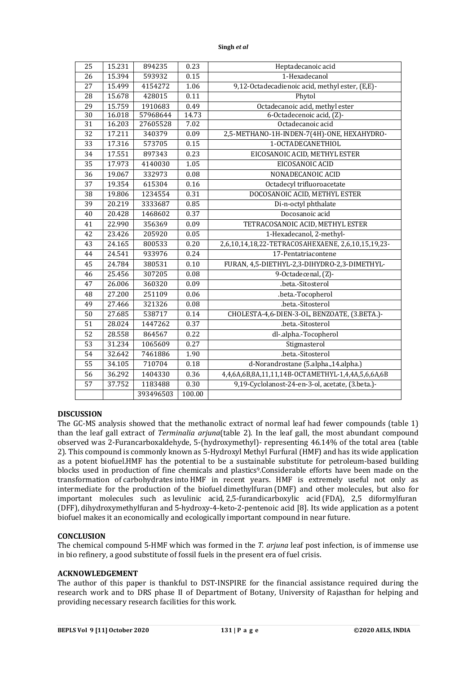| Singh et al |  |  |
|-------------|--|--|
|-------------|--|--|

| 25              | 15.231 | 894235    | 0.23   | Heptadecanoic acid                                 |
|-----------------|--------|-----------|--------|----------------------------------------------------|
| 26              | 15.394 | 593932    | 0.15   | 1-Hexadecanol                                      |
| 27              | 15.499 | 4154272   | 1.06   | 9,12-Octadecadienoic acid, methyl ester, (E,E)-    |
| 28              | 15.678 | 428015    | 0.11   | Phytol                                             |
| 29              | 15.759 | 1910683   | 0.49   | Octadecanoic acid, methyl ester                    |
| $\overline{30}$ | 16.018 | 57968644  | 14.73  | 6-Octadecenoic acid, (Z)-                          |
| 31              | 16.203 | 27605528  | 7.02   | Octadecanoic acid                                  |
| 32              | 17.211 | 340379    | 0.09   | 2,5-METHANO-1H-INDEN-7(4H)-ONE, HEXAHYDRO-         |
| $\overline{33}$ | 17.316 | 573705    | 0.15   | 1-OCTADECANETHIOL                                  |
| 34              | 17.551 | 897343    | 0.23   | EICOSANOIC ACID, METHYL ESTER                      |
| 35              | 17.973 | 4140030   | 1.05   | EICOSANOIC ACID                                    |
| 36              | 19.067 | 332973    | 0.08   | NONADECANOIC ACID                                  |
| $\overline{37}$ | 19.354 | 615304    | 0.16   | Octadecyl trifluoroacetate                         |
| $\overline{38}$ | 19.806 | 1234554   | 0.31   | DOCOSANOIC ACID, METHYL ESTER                      |
| 39              | 20.219 | 3333687   | 0.85   | Di-n-octyl phthalate                               |
| 40              | 20.428 | 1468602   | 0.37   | Docosanoic acid                                    |
| $\overline{41}$ | 22.990 | 356369    | 0.09   | TETRACOSANOIC ACID, METHYL ESTER                   |
| 42              | 23.426 | 205920    | 0.05   | 1-Hexadecanol, 2-methyl-                           |
| $\overline{43}$ | 24.165 | 800533    | 0.20   | 2,6,10,14,18,22-TETRACOSAHEXAENE, 2,6,10,15,19,23- |
| 44              | 24.541 | 933976    | 0.24   | 17-Pentatriacontene                                |
| 45              | 24.784 | 380531    | 0.10   | FURAN, 4,5-DIETHYL-2,3-DIHYDRO-2,3-DIMETHYL-       |
| 46              | 25.456 | 307205    | 0.08   | 9-Octadecenal, (Z)-                                |
| $\overline{47}$ | 26.006 | 360320    | 0.09   | .beta.-Sitosterol                                  |
| 48              | 27.200 | 251109    | 0.06   | .beta.-Tocopherol                                  |
| 49              | 27.466 | 321326    | 0.08   | .beta.-Sitosterol                                  |
| 50              | 27.685 | 538717    | 0.14   | CHOLESTA-4,6-DIEN-3-OL, BENZOATE, (3.BETA.)-       |
| 51              | 28.024 | 1447262   | 0.37   | .beta.-Sitosterol                                  |
| $\overline{52}$ | 28.558 | 864567    | 0.22   | dl-.alpha.-Tocopherol                              |
| 53              | 31.234 | 1065609   | 0.27   | Stigmasterol                                       |
| 54              | 32.642 | 7461886   | 1.90   | .beta.-Sitosterol                                  |
| 55              | 34.105 | 710704    | 0.18   | d-Norandrostane (5.alpha.,14.alpha.)               |
| 56              | 36.292 | 1404330   | 0.36   | 4,4,6A,6B,8A,11,11,14B-OCTAMETHYL-1,4,4A,5,6,6A,6B |
| 57              | 37.752 | 1183488   | 0.30   | 9,19-Cyclolanost-24-en-3-ol, acetate, (3.beta.)-   |
|                 |        | 393496503 | 100.00 |                                                    |

## **DISCUSSION**

The GC-MS analysis showed that the methanolic extract of normal leaf had fewer compounds (table 1) than the leaf gall extract of *Terminalia arjuna*(table 2). In the leaf gall, the most abundant compound observed was 2-Furancarboxaldehyde, 5-(hydroxymethyl)- representing 46.14% of the total area (table 2). This compound is commonly known as 5-Hydroxyl Methyl Furfural (HMF) and has its wide application as a potent biofuel.HMF has the potential to be a sustainable substitute for petroleum-based building blocks used in production of fine chemicals and plastics<sup>9</sup>.Considerable efforts have been made on the transformation of carbohydrates into HMF in recent years. HMF is extremely useful not only as intermediate for the production of the biofuel dimethylfuran (DMF) and other molecules, but also for important molecules such as levulinic acid, 2,5-furandicarboxylic acid (FDA), 2,5 diformylfuran (DFF), dihydroxymethylfuran and 5-hydroxy-4-keto-2-pentenoic acid [8]. Its wide application as a potent biofuel makes it an economically and ecologically important compound in near future.

## **CONCLUSION**

The chemical compound 5-HMF which was formed in the *T. arjuna* leaf post infection, is of immense use in bio refinery, a good substitute of fossil fuels in the present era of fuel crisis.

## **ACKNOWLEDGEMENT**

The author of this paper is thankful to DST-INSPIRE for the financial assistance required during the research work and to DRS phase II of Department of Botany, University of Rajasthan for helping and providing necessary research facilities for this work.